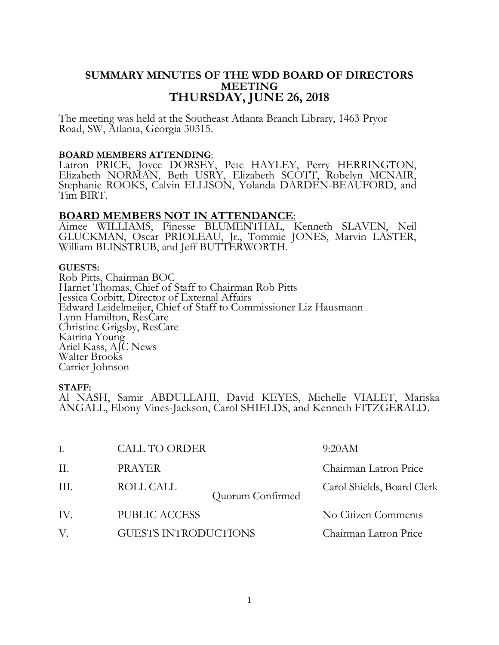# **SUMMARY MINUTES OF THE WDD BOARD OF DIRECTORS MEETING THURSDAY, JUNE 26, 2018**

The meeting was held at the Southeast Atlanta Branch Library, 1463 Pryor Road, SW, Atlanta, Georgia 30315.

### **BOARD MEMBERS ATTENDING**:

Latron PRICE, Joyce DORSEY, Pete HAYLEY, Perry HERRINGTON, Elizabeth NORMAN, Beth USRY, Elizabeth SCOTT, Robelyn MCNAIR, Stephanie ROOKS, Calvin ELLISON, Yolanda DARDEN-BEAUFORD, and Tim BIRT.

### **BOARD MEMBERS NOT IN ATTENDANCE**:

Aimee WILLIAMS, Finesse BLUMENTHAL, Kenneth SLAVEN, Neil GLUCKMAN, Oscar PRIOLEAU, Jr., Tommie JONES, Marvin LASTER, William BLINSTRUB, and Jeff BUTTERWORTH.

### **GUESTS:**

Rob Pitts, Chairman BOC Harriet Thomas, Chief of Staff to Chairman Rob Pitts Jessica Corbitt, Director of External Affairs Edward Leidelmeijer, Chief of Staff to Commissioner Liz Hausmann Lynn Hamilton, ResCare Christine Grigsby, ResCare Katrina Young Ariel Kass, AJC News Walter Brooks Carrier Johnson

### **STAFF:**

Al NASH, Samir ABDULLAHI, David KEYES, Michelle VIALET, Mariska ANGALL, Ebony Vines-Jackson, Carol SHIELDS, and Kenneth FITZGERALD.

| Ι.   | <b>CALL TO ORDER</b>          | 9:20AM                     |
|------|-------------------------------|----------------------------|
| П.   | <b>PRAYER</b>                 | Chairman Latron Price      |
| III. | ROLL CALL<br>Quorum Confirmed | Carol Shields, Board Clerk |
| IV.  | <b>PUBLIC ACCESS</b>          | No Citizen Comments        |
| V.   | <b>GUESTS INTRODUCTIONS</b>   | Chairman Latron Price      |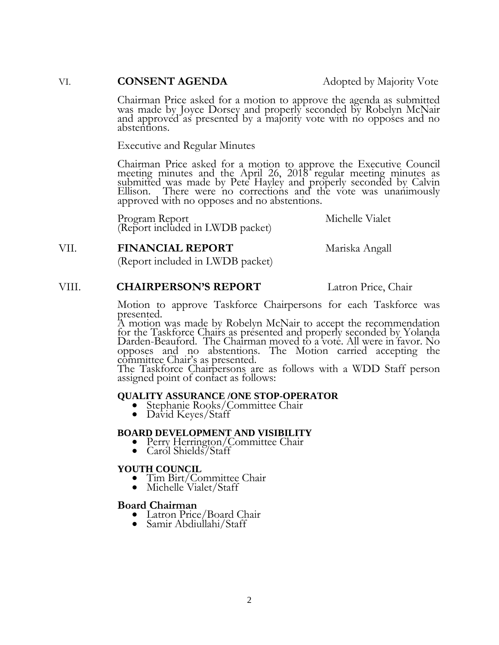### VI. **CONSENT AGENDA** Adopted by Majority Vote

Chairman Price asked for a motion to approve the agenda as submitted was made by Joyce Dorsey and properly seconded by Robelyn McNair and approved as presented by a majority vote with no opposes and no abstentions.

Executive and Regular Minutes

Chairman Price asked for a motion to approve the Executive Council meeting minutes and the April 26, 2018 regular meeting minutes as submitted was made by Pete Hayley and properly seconded by Calvin Ellison. There were no corrections and the vote was unanimously approved with no opposes and no abstentions.

Program Report Michelle Vialet (Report included in LWDB packet)

### VII. **FINANCIAL REPORT** Mariska Angall

(Report included in LWDB packet)

### VIII. **CHAIRPERSON'S REPORT** Latron Price, Chair

Motion to approve Taskforce Chairpersons for each Taskforce was presented.

A motion was made by Robelyn McNair to accept the recommendation for the Taskforce Chairs as presented and properly seconded by Yolanda Darden-Beauford. The Chairman moved to a vote. All were in favor. No opposes and no abstentions. The Motion carried accepting the committee Chair's as presented.

The Taskforce Chairpersons are as follows with a WDD Staff person assigned point of contact as follows:

#### **QUALITY ASSURANCE /ONE STOP-OPERATOR**

- Stephanie Rooks/Committee Chair
- David Keyes/Staff

#### **BOARD DEVELOPMENT AND VISIBILITY**

- Perry Herrington/Committee Chair
- Carol Shields/Staff

#### **YOUTH COUNCIL**

- Tim Birt/Committee Chair
- Michelle Vialet/Staff

#### **Board Chairman**

- Latron Price/Board Chair
- Samir Abdiullahi/Staff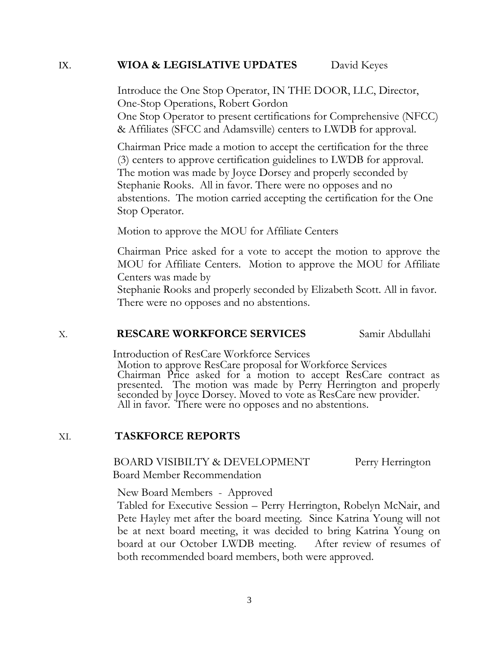## IX. **WIOA & LEGISLATIVE UPDATES** David Keyes

Introduce the One Stop Operator, IN THE DOOR, LLC, Director, One-Stop Operations, Robert Gordon

One Stop Operator to present certifications for Comprehensive (NFCC) & Affiliates (SFCC and Adamsville) centers to LWDB for approval.

Chairman Price made a motion to accept the certification for the three (3) centers to approve certification guidelines to LWDB for approval. The motion was made by Joyce Dorsey and properly seconded by Stephanie Rooks. All in favor. There were no opposes and no abstentions. The motion carried accepting the certification for the One Stop Operator.

Motion to approve the MOU for Affiliate Centers

Chairman Price asked for a vote to accept the motion to approve the MOU for Affiliate Centers. Motion to approve the MOU for Affiliate Centers was made by

Stephanie Rooks and properly seconded by Elizabeth Scott. All in favor. There were no opposes and no abstentions.

### X. **RESCARE WORKFORCE SERVICES** Samir Abdullahi

Introduction of ResCare Workforce Services

Motion to approve ResCare proposal for Workforce Services Chairman Price asked for a motion to accept ResCare contract as presented. The motion was made by Perry Herrington and properly seconded by Joyce Dorsey. Moved to vote as ResCare new provider. All in favor. There were no opposes and no abstentions.

### XI. **TASKFORCE REPORTS**

BOARD VISIBILTY & DEVELOPMENT Perry Herrington Board Member Recommendation

New Board Members - Approved

Tabled for Executive Session – Perry Herrington, Robelyn McNair, and Pete Hayley met after the board meeting. Since Katrina Young will not be at next board meeting, it was decided to bring Katrina Young on board at our October LWDB meeting. After review of resumes of both recommended board members, both were approved.